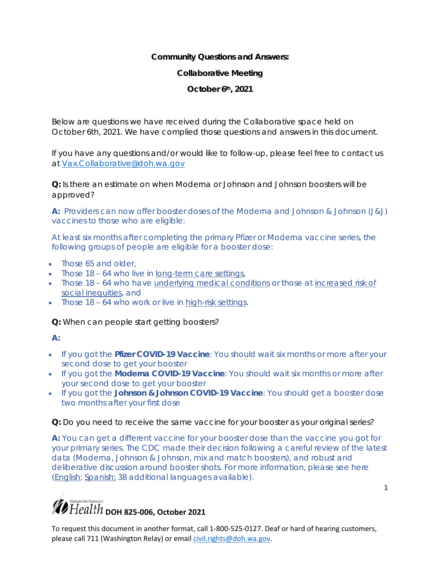**Community Questions and Answers:** 

**Collaborative Meeting** 

**October 6th, 2021** 

Below are questions we have received during the Collaborative space held on October 6th, 2021. We have complied those questions and answers in this document.

If you have any questions and/or would like to follow-up, please feel free to contact us at [Vax.Collaborative@doh.wa.gov](mailto:Vax.Collaborative@doh.wa.gov)

**Q:** Is there an estimate on when Moderna or Johnson and Johnson boosters will be approved?

**A:** Providers can now offer booster doses of the Moderna and Johnson & Johnson (J&J) vaccines to those who are eligible:

At least six months after completing the primary Pfizer or Moderna vaccine series, the following groups of people are eligible for a booster dose:

- Those 65 and older,
- $\bullet$  Those 18 64 who live in [long-term](https://www.cdc.gov/coronavirus/2019-ncov/vaccines/booster-shot.html#long-term-care) care settings,
- Those 18 64 who have [underlying](https://www.cdc.gov/coronavirus/2019-ncov/need-extra-precautions/people-with-medical-conditions.html) medical conditions or those at [increased](https://www.doh.wa.gov/Emergencies/COVID19/VaccineInformation/Engagement) risk of social [inequities,](https://www.doh.wa.gov/Emergencies/COVID19/VaccineInformation/Engagement) and
- Those 18 64 who work or live in [high-risk](https://www.cdc.gov/coronavirus/2019-ncov/vaccines/booster-shot.html#HighRisk) settings.

**Q:** When can people start getting boosters?

- If you got the **Pfizer COVID-19 Vaccine**: You should wait six months or more after your second dose to get your booster
- If you got the **Moderna COVID-19 Vaccine**: You should wait six months or more after your second dose to get your booster
- If you got the **Johnson & Johnson COVID-19 Vaccine**: You should get a booster dose two months after your first dose

**Q:** Do you need to receive the same vaccine for your booster as your original series?

**A:** You can get a different vaccine for your booster dose than the vaccine you got for your primary series. The CDC made their decision following a careful review of the latest data (Moderna, Johnson & Johnson, mix and match boosters), and robust and deliberative discussion around booster shots. For more information, please see here [\(English;](https://www.doh.wa.gov/Emergencies/COVID19/VaccineInformation/VaccineBoosterDoses) [Spanish;](https://www.doh.wa.gov/Emergencies/COVID19/VaccineInformation/Vacunacontraelcoronavirus/Dosisderefuerzodelavacuna) 38 additional languages available).

#### 1

### $\gamma$  Health <sub>DOH</sub> 825-006, October 2021

**A:**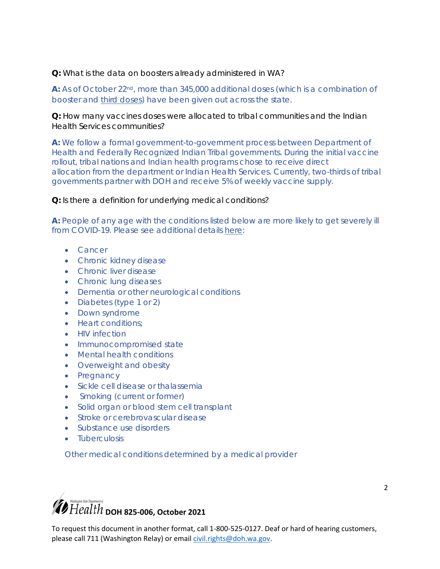**Q:** What is the data on boosters already administered in WA?

**A:** As of October 22nd, more than 345,000 additional doses (which is a combination of booster and third [doses\)](https://www.doh.wa.gov/Newsroom/Articles/ID/2896/Third-dose-of-COVID-19-vaccine-recommended-for-certain-immunocompromised-individuals) have been given out across the state.

**Q:** How many vaccines doses were allocated to tribal communities and the Indian Health Services communities?

**A:** We follow a formal government-to-government process between Department of Health and Federally Recognized Indian Tribal governments. During the initial vaccine rollout, tribal nations and Indian health programs chose to receive direct allocation from the department or Indian Health Services. Currently, two-thirds of tribal governments partner with DOH and receive 5% of weekly vaccine supply.

**Q:** Is there a definition for underlying medical conditions?

**A:** People of any age with the conditions listed below are more likely to get severely ill from COVID-19. Please see additional details [here:](https://www.cdc.gov/coronavirus/2019-ncov/need-extra-precautions/people-with-medical-conditions.html)

- Cancer
- **•** Chronic kidney disease
- Chronic liver disease
- Chronic lung diseases
- Dementia or other neurological conditions
- Diabetes (type 1 or 2)
- Down syndrome
- Heart conditions:
- HIV infection
- Immunocompromised state
- Mental health conditions
- Overweight and obesity
- Pregnancy
- Sickle cell disease or thalassemia
- Smoking (current or former)
- Solid organ or blood stem cell transplant
- Stroke or cerebrovascular disease
- Substance use disorders
- **•** Tuberculosis

Other medical conditions determined by a medical provider



To request this document in another format, call 1-800-525-0127. Deaf or hard of hearing customers, please call 711 (Washington Relay) or email [civil.rights@doh.wa.gov](mailto:civil.rights@doh.wa.gov). 

2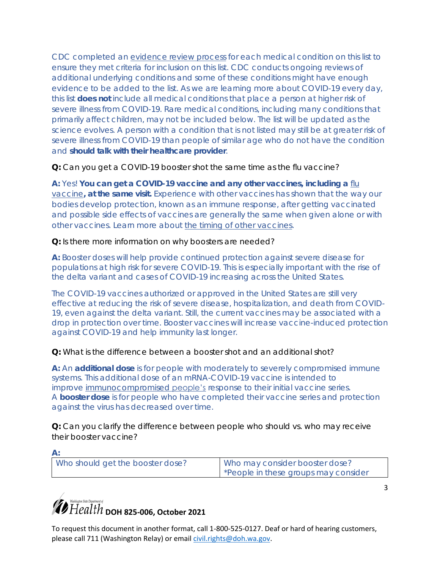CDC completed an [evidence review process](https://www.cdc.gov/coronavirus/2019-ncov/science/science-briefs/underlying-evidence-table.html) for each medical condition on this list to ensure they met criteria for inclusion on this list. CDC conducts ongoing reviews of additional underlying conditions and some of these conditions might have enough evidence to be added to the list. As we are learning more about COVID-19 every day, this list **does not** include all medical conditions that place a person at higher risk of severe illness from COVID-19. Rare medical conditions, including many conditions that primarily affect children, may not be included below. The list will be updated as the science evolves. A person with a condition that is not listed may still be at greater risk of severe illness from COVID-19 than people of similar age who do not have the condition and **should talk with their healthcare provider**.

**Q:** Can you get a COVID-19 booster shot the same time as the flu vaccine?

**A:** Yes! **You can get a COVID-19 vaccine and any other vaccines, including a** [flu](https://www.cdc.gov/flu/season/faq-flu-season-2021-2022.htm#Getting-a-Flu-Vaccine-During-the-COVID-19-Pandemic)  [vaccine](https://www.cdc.gov/flu/season/faq-flu-season-2021-2022.htm#Getting-a-Flu-Vaccine-During-the-COVID-19-Pandemic)**, at the same visit.** Experience with other vaccines has shown that the way our bodies develop protection, known as an immune response, after getting vaccinated and possible side effects of vaccines are generally the same when given alone or with other vaccines. Learn more about [the timing of other vaccines.](https://www.cdc.gov/vaccines/covid-19/info-by-product/clinical-considerations.html#Coadministration)

**Q:** Is there more information on why boosters are needed?

**A:** Booster doses will help provide continued protection against severe disease for populations at high risk for severe COVID-19. This is especially important with the rise of the delta variant and cases of COVID-19 increasing across the United States.

The COVID-19 vaccines authorized or approved in the United States are still very effective at reducing the risk of severe disease, hospitalization, and death from COVID-19, even against the delta variant. Still, the current vaccines may be associated with a drop in protection over time. Booster vaccines will increase vaccine-induced protection against COVID-19 and help immunity last longer.

**Q:** What is the difference between a booster shot and an additional shot?

**A:** An **additional dose** is for people with moderately to severely compromised immune systems. This additional dose of an mRNA-COVID-19 vaccine is intended to improve [immunocompromised](https://www.cdc.gov/coronavirus/2019-ncov/vaccines/recommendations/immuno.html) people's response to their initial vaccine series. A **booster dose** is for people who have completed their vaccine series and protection against the virus has decreased over time.

**Q:** Can you clarify the difference between people who should vs. who may receive their booster vaccine?

| Who should get the booster dose? | Who may consider booster dose?<br>*People in these groups may consider |
|----------------------------------|------------------------------------------------------------------------|

3

# $\hat{\mathcal{B}}$  Health <sub>DOH</sub> 825-006, October 2021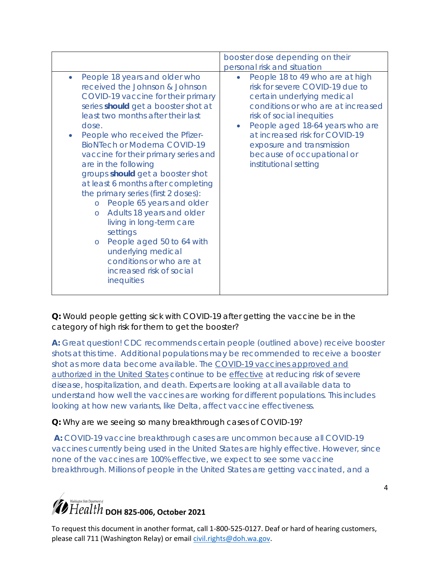|                                                                                                                                                                                                                                                                                                                                                                                                                                                                                                                                                                                                                                                                                                                                | booster dose depending on their<br>personal risk and situation                                                                                                                                                                                                                                                                                         |
|--------------------------------------------------------------------------------------------------------------------------------------------------------------------------------------------------------------------------------------------------------------------------------------------------------------------------------------------------------------------------------------------------------------------------------------------------------------------------------------------------------------------------------------------------------------------------------------------------------------------------------------------------------------------------------------------------------------------------------|--------------------------------------------------------------------------------------------------------------------------------------------------------------------------------------------------------------------------------------------------------------------------------------------------------------------------------------------------------|
| People 18 years and older who<br>$\bullet$<br>received the Johnson & Johnson<br>COVID-19 vaccine for their primary<br>series should get a booster shot at<br>least two months after their last<br>dose.<br>People who received the Pfizer-<br><b>BioNTech or Moderna COVID-19</b><br>vaccine for their primary series and<br>are in the following<br>groups should get a booster shot<br>at least 6 months after completing<br>the primary series (first 2 doses):<br>People 65 years and older<br>$\circ$<br>Adults 18 years and older<br>$\circ$<br>living in long-term care<br>settings<br>People aged 50 to 64 with<br>$\circ$<br>underlying medical<br>conditions or who are at<br>increased risk of social<br>inequities | People 18 to 49 who are at high<br>$\bullet$<br>risk for severe COVID-19 due to<br>certain underlying medical<br>conditions or who are at increased<br>risk of social inequities<br>People aged 18-64 years who are<br>$\bullet$<br>at increased risk for COVID-19<br>exposure and transmission<br>because of occupational or<br>institutional setting |

**Q:** Would people getting sick with COVID-19 after getting the vaccine be in the category of high risk for them to get the booster?

**A:** Great question! CDC recommends certain people (outlined above) receive booster shots at this time. Additional populations may be recommended to receive a booster shot as more data become available. The [COVID-19 vaccines approved and](https://www.cdc.gov/coronavirus/2019-ncov/vaccines/different-vaccines.html)  [authorized in the United States](https://www.cdc.gov/coronavirus/2019-ncov/vaccines/different-vaccines.html) continue to be [effective](https://www.cdc.gov/coronavirus/2019-ncov/vaccines/effectiveness/work.html) at reducing risk of severe disease, hospitalization, and death. Experts are looking at all available data to understand how well the vaccines are working for different populations. This includes looking at how new variants, like Delta, affect vaccine effectiveness.

#### **Q:** Why are we seeing so many breakthrough cases of COVID-19?

**A:** COVID-19 vaccine breakthrough cases are uncommon because all COVID-19 vaccines currently being used in the United States are highly effective. However, since none of the vaccines are 100% effective, we expect to see some vaccine breakthrough. Millions of people in the United States are getting vaccinated, and a

4

## $\hat{\mathcal{D}}$  Health <sub>DOH</sub> 825-006, October 2021